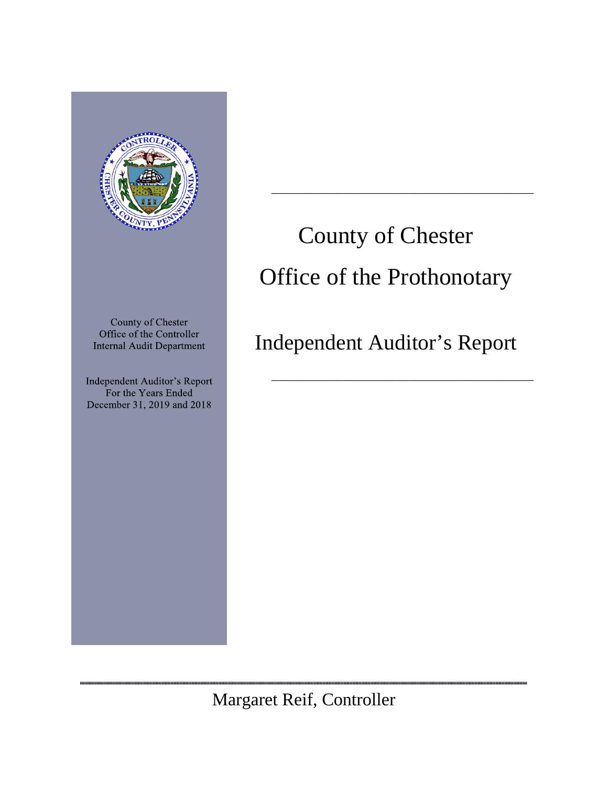

,,,,,,,,,,,,,,,,,,,,,,,,,,,

# County of Chester Office of the Prothonotary

\_\_\_\_\_\_\_\_\_\_\_\_\_\_\_\_\_\_\_\_\_\_\_\_\_\_\_\_\_\_\_\_\_\_\_\_\_\_\_\_\_\_\_\_

Independent Auditor's Report

\_\_\_\_\_\_\_\_\_\_\_\_\_\_\_\_\_\_\_\_\_\_\_\_\_\_\_\_\_\_\_\_\_\_\_\_\_\_\_\_\_\_\_\_

,,,,,,,,,,,,,,,,,,,,,,,,,,,,,,

Margaret Reif, Controller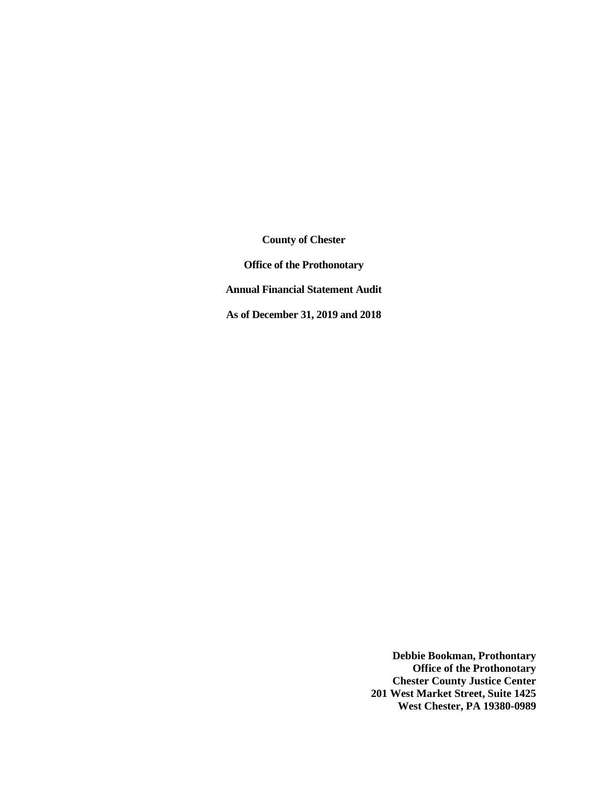**County of Chester Office of the Prothonotary Annual Financial Statement Audit As of December 31, 2019 and 2018** 

> **Debbie Bookman, Prothontary Office of the Prothonotary Chester County Justice Center 201 West Market Street, Suite 1425 West Chester, PA 19380-0989**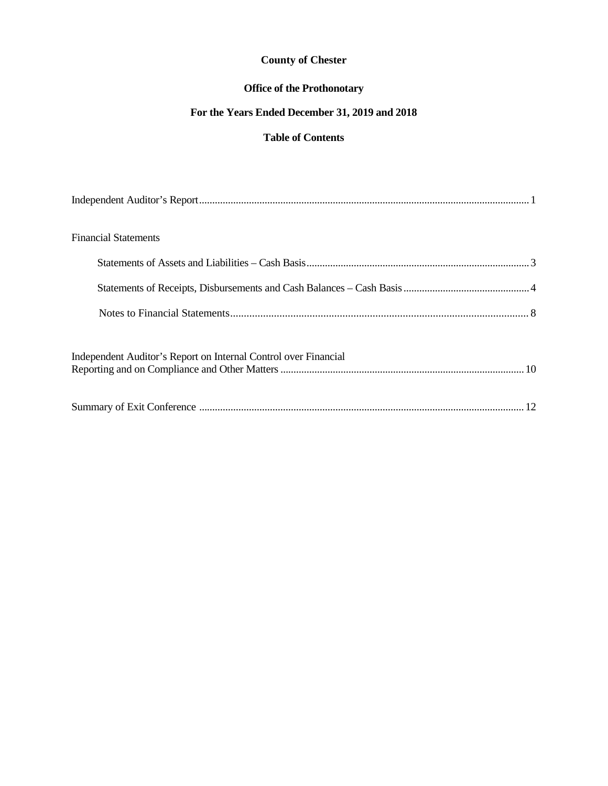## **Office of the Prothonotary**

## **For the Years Ended December 31, 2019 and 2018**

## **Table of Contents**

| <b>Financial Statements</b>                                     |  |
|-----------------------------------------------------------------|--|
|                                                                 |  |
|                                                                 |  |
|                                                                 |  |
| Independent Auditor's Report on Internal Control over Financial |  |
|                                                                 |  |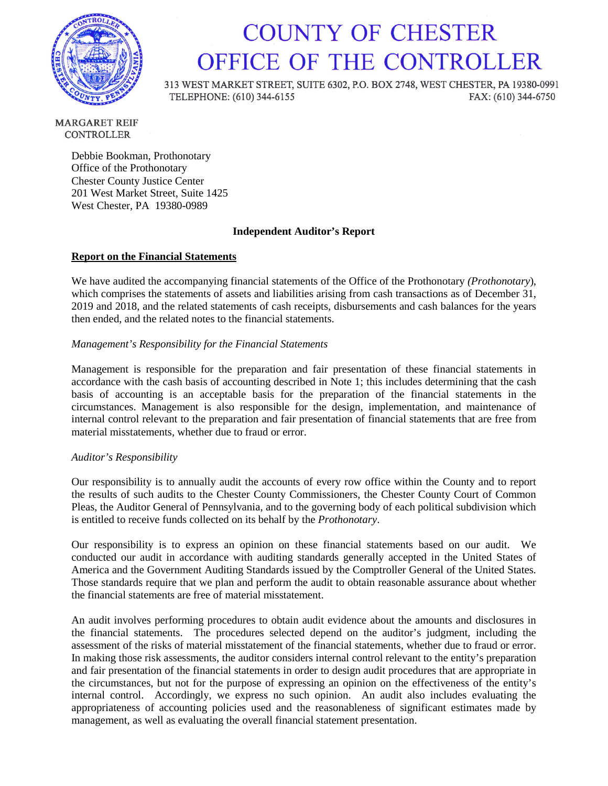

## **COUNTY OF CHESTER** OFFICE OF THE CONTROLLER

313 WEST MARKET STREET, SUITE 6302, P.O. BOX 2748, WEST CHESTER, PA 19380-0991 TELEPHONE: (610) 344-6155 FAX: (610) 344-6750

**MARGARET REIF CONTROLLER** 

> Debbie Bookman, Prothonotary Office of the Prothonotary Chester County Justice Center 201 West Market Street, Suite 1425 West Chester, PA 19380-0989

#### **Independent Auditor's Report**

#### **Report on the Financial Statements**

We have audited the accompanying financial statements of the Office of the Prothonotary *(Prothonotary*), which comprises the statements of assets and liabilities arising from cash transactions as of December 31, 2019 and 2018, and the related statements of cash receipts, disbursements and cash balances for the years then ended, and the related notes to the financial statements.

#### *Management's Responsibility for the Financial Statements*

Management is responsible for the preparation and fair presentation of these financial statements in accordance with the cash basis of accounting described in Note 1; this includes determining that the cash basis of accounting is an acceptable basis for the preparation of the financial statements in the circumstances. Management is also responsible for the design, implementation, and maintenance of internal control relevant to the preparation and fair presentation of financial statements that are free from material misstatements, whether due to fraud or error.

#### *Auditor's Responsibility*

Our responsibility is to annually audit the accounts of every row office within the County and to report the results of such audits to the Chester County Commissioners, the Chester County Court of Common Pleas, the Auditor General of Pennsylvania, and to the governing body of each political subdivision which is entitled to receive funds collected on its behalf by the *Prothonotary*.

Our responsibility is to express an opinion on these financial statements based on our audit. We conducted our audit in accordance with auditing standards generally accepted in the United States of America and the Government Auditing Standards issued by the Comptroller General of the United States. Those standards require that we plan and perform the audit to obtain reasonable assurance about whether the financial statements are free of material misstatement.

An audit involves performing procedures to obtain audit evidence about the amounts and disclosures in the financial statements. The procedures selected depend on the auditor's judgment, including the assessment of the risks of material misstatement of the financial statements, whether due to fraud or error. In making those risk assessments, the auditor considers internal control relevant to the entity's preparation and fair presentation of the financial statements in order to design audit procedures that are appropriate in the circumstances, but not for the purpose of expressing an opinion on the effectiveness of the entity's internal control. Accordingly, we express no such opinion. An audit also includes evaluating the appropriateness of accounting policies used and the reasonableness of significant estimates made by management, as well as evaluating the overall financial statement presentation.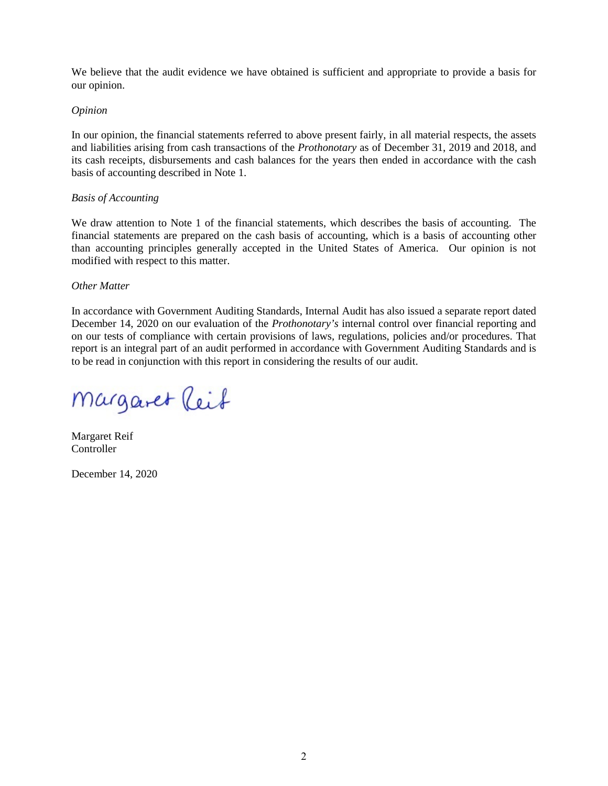We believe that the audit evidence we have obtained is sufficient and appropriate to provide a basis for our opinion.

#### *Opinion*

In our opinion, the financial statements referred to above present fairly, in all material respects, the assets and liabilities arising from cash transactions of the *Prothonotary* as of December 31, 2019 and 2018, and its cash receipts, disbursements and cash balances for the years then ended in accordance with the cash basis of accounting described in Note 1.

#### *Basis of Accounting*

We draw attention to Note 1 of the financial statements, which describes the basis of accounting. The financial statements are prepared on the cash basis of accounting, which is a basis of accounting other than accounting principles generally accepted in the United States of America. Our opinion is not modified with respect to this matter.

#### *Other Matter*

In accordance with Government Auditing Standards, Internal Audit has also issued a separate report dated December 14, 2020 on our evaluation of the *Prothonotary's* internal control over financial reporting and on our tests of compliance with certain provisions of laws, regulations, policies and/or procedures. That report is an integral part of an audit performed in accordance with Government Auditing Standards and is to be read in conjunction with this report in considering the results of our audit.

Margaret Reif

Margaret Reif **Controller** 

December 14, 2020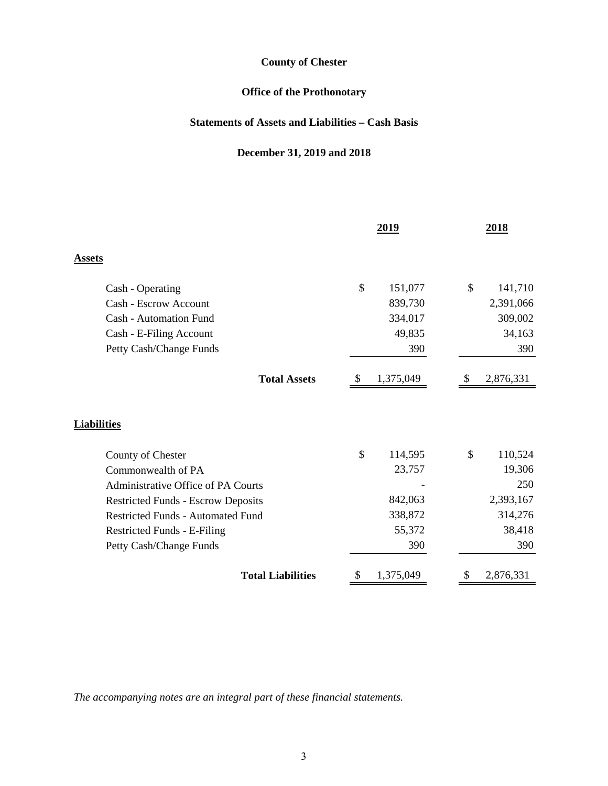## **Office of the Prothonotary**

## **Statements of Assets and Liabilities – Cash Basis**

## **December 31, 2019 and 2018**

|                                           | 2019          |           | 2018          |  |
|-------------------------------------------|---------------|-----------|---------------|--|
| <b>Assets</b>                             |               |           |               |  |
| Cash - Operating                          | \$            | 151,077   | \$<br>141,710 |  |
| Cash - Escrow Account                     |               | 839,730   | 2,391,066     |  |
| <b>Cash - Automation Fund</b>             |               | 334,017   | 309,002       |  |
| Cash - E-Filing Account                   |               | 49,835    | 34,163        |  |
| Petty Cash/Change Funds                   |               | 390       | 390           |  |
| <b>Total Assets</b>                       | <sup>8</sup>  | 1,375,049 | 2,876,331     |  |
| <b>Liabilities</b>                        |               |           |               |  |
| County of Chester                         | $\mathcal{S}$ | 114,595   | \$<br>110,524 |  |
| Commonwealth of PA                        |               | 23,757    | 19,306        |  |
| Administrative Office of PA Courts        |               |           | 250           |  |
| <b>Restricted Funds - Escrow Deposits</b> |               | 842,063   | 2,393,167     |  |
| <b>Restricted Funds - Automated Fund</b>  |               | 338,872   | 314,276       |  |
| Restricted Funds - E-Filing               |               | 55,372    | 38,418        |  |
| Petty Cash/Change Funds                   |               | 390       | 390           |  |
| <b>Total Liabilities</b>                  |               | 1,375,049 | 2,876,331     |  |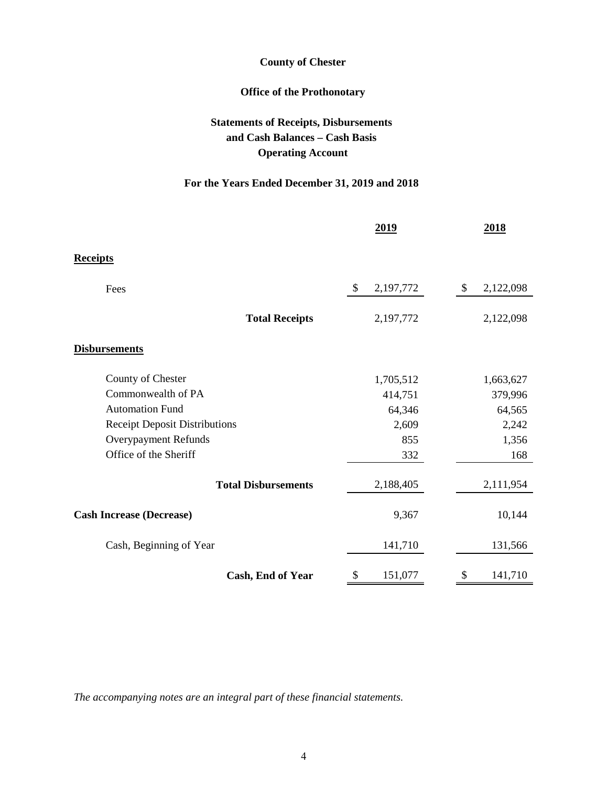## **Office of the Prothonotary**

## **Statements of Receipts, Disbursements and Cash Balances – Cash Basis Operating Account**

## **For the Years Ended December 31, 2019 and 2018**

|                                      | 2019            | 2018                                   |
|--------------------------------------|-----------------|----------------------------------------|
| <b>Receipts</b>                      |                 |                                        |
| Fees                                 | \$<br>2,197,772 | $\boldsymbol{\mathsf{S}}$<br>2,122,098 |
| <b>Total Receipts</b>                | 2,197,772       | 2,122,098                              |
| <b>Disbursements</b>                 |                 |                                        |
| County of Chester                    | 1,705,512       | 1,663,627                              |
| Commonwealth of PA                   | 414,751         | 379,996                                |
| <b>Automation Fund</b>               | 64,346          | 64,565                                 |
| <b>Receipt Deposit Distributions</b> | 2,609           | 2,242                                  |
| Overypayment Refunds                 | 855             | 1,356                                  |
| Office of the Sheriff                | 332             | 168                                    |
| <b>Total Disbursements</b>           | 2,188,405       | 2,111,954                              |
| <b>Cash Increase (Decrease)</b>      | 9,367           | 10,144                                 |
| Cash, Beginning of Year              | 141,710         | 131,566                                |
| Cash, End of Year                    | 151,077<br>\$   | 141,710<br>У                           |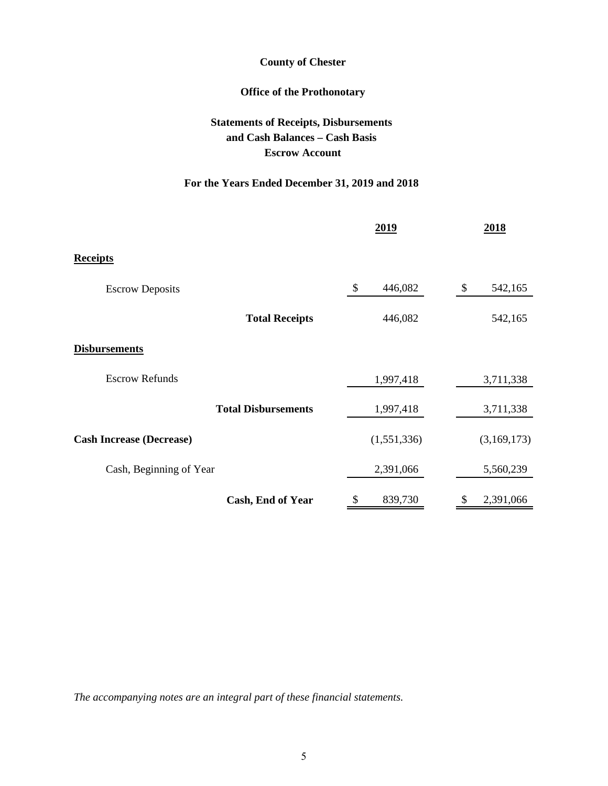## **Office of the Prothonotary**

## **Statements of Receipts, Disbursements and Cash Balances – Cash Basis Escrow Account**

## **For the Years Ended December 31, 2019 and 2018**

|                                 | 2019          | 2018          |  |
|---------------------------------|---------------|---------------|--|
| <b>Receipts</b>                 |               |               |  |
| <b>Escrow Deposits</b>          | \$<br>446,082 | \$<br>542,165 |  |
| <b>Total Receipts</b>           | 446,082       | 542,165       |  |
| <b>Disbursements</b>            |               |               |  |
| <b>Escrow Refunds</b>           | 1,997,418     | 3,711,338     |  |
| <b>Total Disbursements</b>      | 1,997,418     | 3,711,338     |  |
| <b>Cash Increase (Decrease)</b> | (1,551,336)   | (3,169,173)   |  |
| Cash, Beginning of Year         | 2,391,066     | 5,560,239     |  |
| Cash, End of Year               | 839,730       | 2,391,066     |  |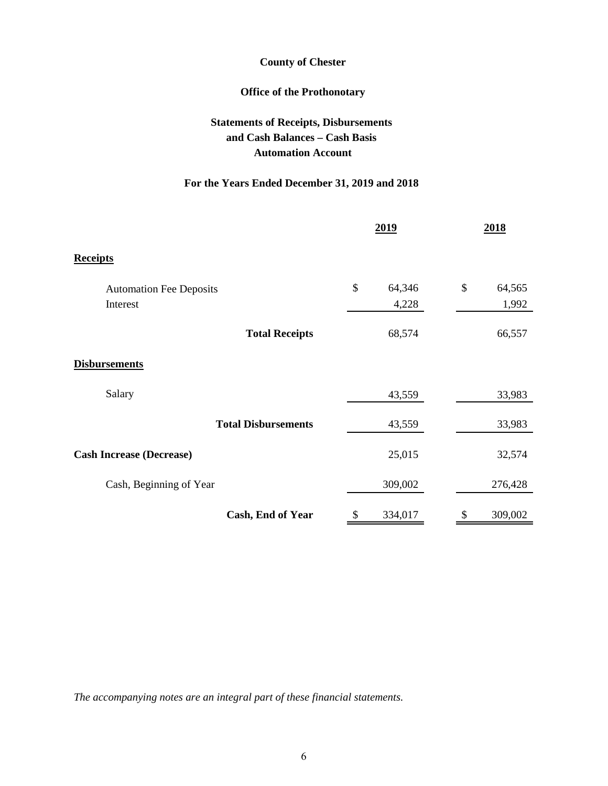## **Office of the Prothonotary**

## **Statements of Receipts, Disbursements and Cash Balances – Cash Basis Automation Account**

## **For the Years Ended December 31, 2019 and 2018**

|                                 | 2019 |         | 2018 |         |
|---------------------------------|------|---------|------|---------|
| <b>Receipts</b>                 |      |         |      |         |
| <b>Automation Fee Deposits</b>  | \$   | 64,346  | \$   | 64,565  |
| Interest                        |      | 4,228   |      | 1,992   |
| <b>Total Receipts</b>           |      | 68,574  |      | 66,557  |
| <b>Disbursements</b>            |      |         |      |         |
| Salary                          |      | 43,559  |      | 33,983  |
| <b>Total Disbursements</b>      |      | 43,559  |      | 33,983  |
| <b>Cash Increase (Decrease)</b> |      | 25,015  |      | 32,574  |
| Cash, Beginning of Year         |      | 309,002 |      | 276,428 |
| Cash, End of Year               |      | 334,017 |      | 309,002 |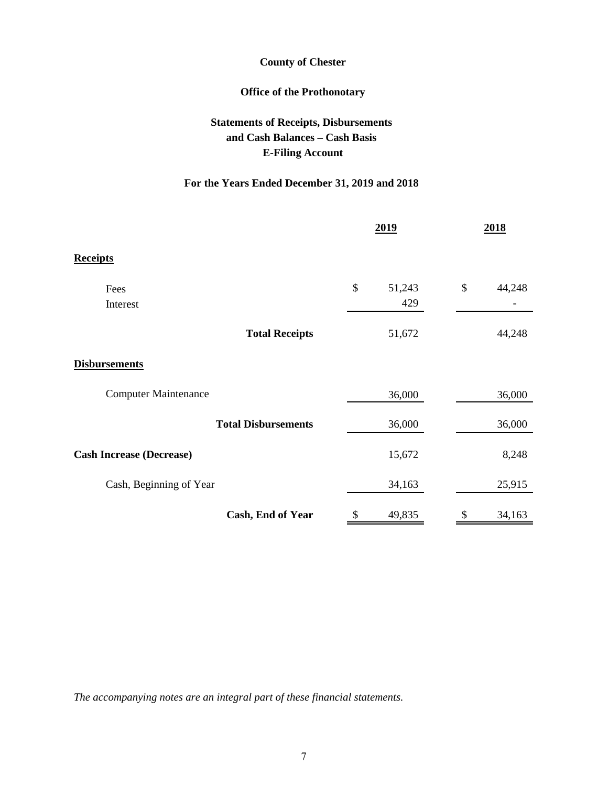## **Office of the Prothonotary**

## **Statements of Receipts, Disbursements and Cash Balances – Cash Basis E-Filing Account**

## **For the Years Ended December 31, 2019 and 2018**

|                                 | 2019 |        | 2018 |        |
|---------------------------------|------|--------|------|--------|
| <b>Receipts</b>                 |      |        |      |        |
| Fees                            | \$   | 51,243 | \$   | 44,248 |
| Interest                        |      | 429    |      |        |
| <b>Total Receipts</b>           |      | 51,672 |      | 44,248 |
| <b>Disbursements</b>            |      |        |      |        |
| <b>Computer Maintenance</b>     |      | 36,000 |      | 36,000 |
| <b>Total Disbursements</b>      |      | 36,000 |      | 36,000 |
| <b>Cash Increase (Decrease)</b> |      | 15,672 |      | 8,248  |
| Cash, Beginning of Year         |      | 34,163 |      | 25,915 |
| Cash, End of Year               |      | 49,835 |      | 34,163 |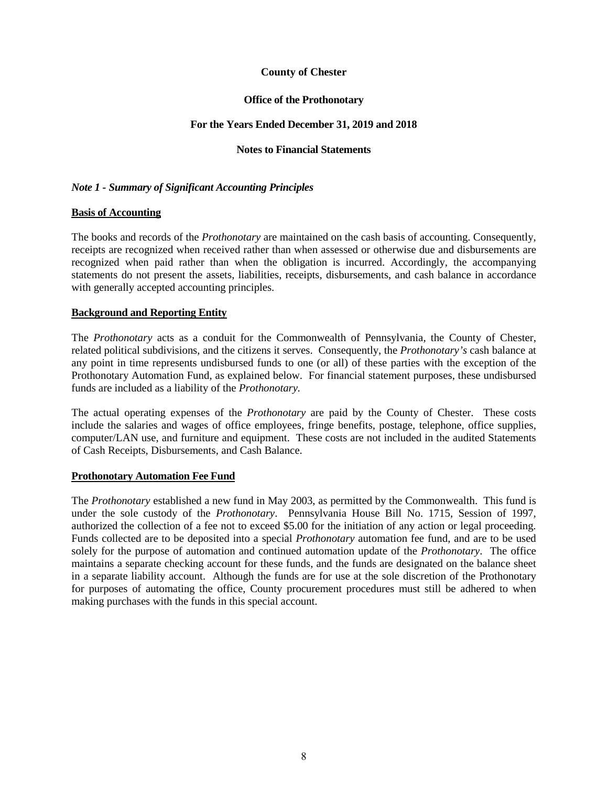#### **Office of the Prothonotary**

#### **For the Years Ended December 31, 2019 and 2018**

#### **Notes to Financial Statements**

#### *Note 1 - Summary of Significant Accounting Principles*

#### **Basis of Accounting**

The books and records of the *Prothonotary* are maintained on the cash basis of accounting. Consequently, receipts are recognized when received rather than when assessed or otherwise due and disbursements are recognized when paid rather than when the obligation is incurred. Accordingly, the accompanying statements do not present the assets, liabilities, receipts, disbursements, and cash balance in accordance with generally accepted accounting principles.

#### **Background and Reporting Entity**

The *Prothonotary* acts as a conduit for the Commonwealth of Pennsylvania, the County of Chester, related political subdivisions, and the citizens it serves. Consequently, the *Prothonotary's* cash balance at any point in time represents undisbursed funds to one (or all) of these parties with the exception of the Prothonotary Automation Fund, as explained below. For financial statement purposes, these undisbursed funds are included as a liability of the *Prothonotary.*

The actual operating expenses of the *Prothonotary* are paid by the County of Chester. These costs include the salaries and wages of office employees, fringe benefits, postage, telephone, office supplies, computer/LAN use, and furniture and equipment. These costs are not included in the audited Statements of Cash Receipts, Disbursements, and Cash Balance.

#### **Prothonotary Automation Fee Fund**

The *Prothonotary* established a new fund in May 2003, as permitted by the Commonwealth. This fund is under the sole custody of the *Prothonotary*. Pennsylvania House Bill No. 1715, Session of 1997, authorized the collection of a fee not to exceed \$5.00 for the initiation of any action or legal proceeding. Funds collected are to be deposited into a special *Prothonotary* automation fee fund, and are to be used solely for the purpose of automation and continued automation update of the *Prothonotary*. The office maintains a separate checking account for these funds, and the funds are designated on the balance sheet in a separate liability account. Although the funds are for use at the sole discretion of the Prothonotary for purposes of automating the office, County procurement procedures must still be adhered to when making purchases with the funds in this special account.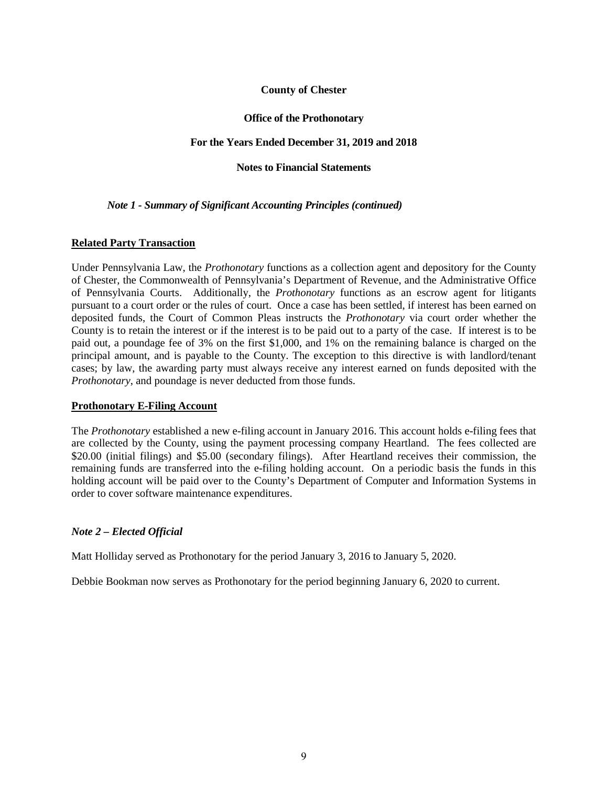#### **Office of the Prothonotary**

#### **For the Years Ended December 31, 2019 and 2018**

#### **Notes to Financial Statements**

#### *Note 1 - Summary of Significant Accounting Principles (continued)*

#### **Related Party Transaction**

Under Pennsylvania Law, the *Prothonotary* functions as a collection agent and depository for the County of Chester, the Commonwealth of Pennsylvania's Department of Revenue, and the Administrative Office of Pennsylvania Courts. Additionally, the *Prothonotary* functions as an escrow agent for litigants pursuant to a court order or the rules of court. Once a case has been settled, if interest has been earned on deposited funds, the Court of Common Pleas instructs the *Prothonotary* via court order whether the County is to retain the interest or if the interest is to be paid out to a party of the case. If interest is to be paid out, a poundage fee of 3% on the first \$1,000, and 1% on the remaining balance is charged on the principal amount, and is payable to the County. The exception to this directive is with landlord/tenant cases; by law, the awarding party must always receive any interest earned on funds deposited with the *Prothonotary*, and poundage is never deducted from those funds.

#### **Prothonotary E-Filing Account**

The *Prothonotary* established a new e-filing account in January 2016. This account holds e-filing fees that are collected by the County, using the payment processing company Heartland. The fees collected are \$20.00 (initial filings) and \$5.00 (secondary filings). After Heartland receives their commission, the remaining funds are transferred into the e-filing holding account. On a periodic basis the funds in this holding account will be paid over to the County's Department of Computer and Information Systems in order to cover software maintenance expenditures.

#### *Note 2 – Elected Official*

Matt Holliday served as Prothonotary for the period January 3, 2016 to January 5, 2020.

Debbie Bookman now serves as Prothonotary for the period beginning January 6, 2020 to current.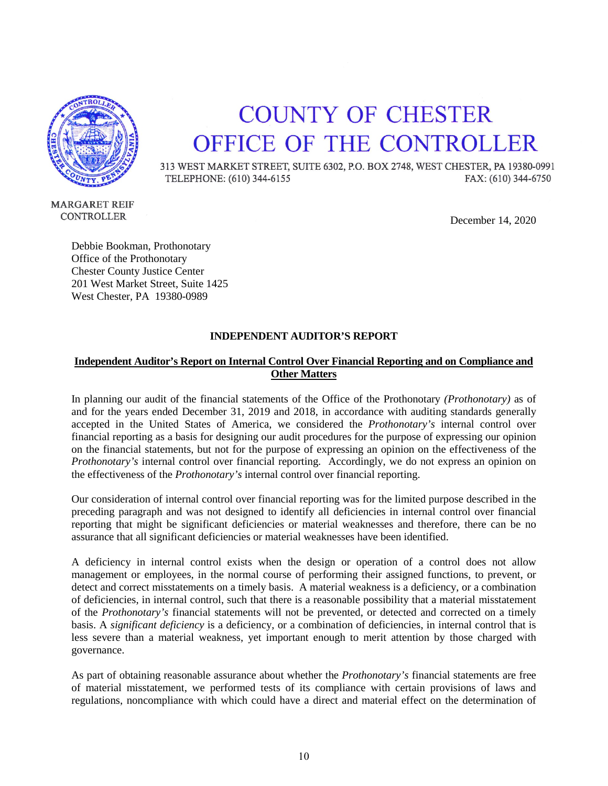

## **COUNTY OF CHESTER** OFFICE OF THE CONTROLLER

313 WEST MARKET STREET, SUITE 6302, P.O. BOX 2748, WEST CHESTER, PA 19380-0991 TELEPHONE: (610) 344-6155 FAX: (610) 344-6750

**MARGARET REIF** CONTROLLER

December 14, 2020

Debbie Bookman, Prothonotary Office of the Prothonotary Chester County Justice Center 201 West Market Street, Suite 1425 West Chester, PA 19380-0989

#### **INDEPENDENT AUDITOR'S REPORT**

#### **Independent Auditor's Report on Internal Control Over Financial Reporting and on Compliance and Other Matters**

In planning our audit of the financial statements of the Office of the Prothonotary *(Prothonotary)* as of and for the years ended December 31, 2019 and 2018, in accordance with auditing standards generally accepted in the United States of America, we considered the *Prothonotary's* internal control over financial reporting as a basis for designing our audit procedures for the purpose of expressing our opinion on the financial statements, but not for the purpose of expressing an opinion on the effectiveness of the *Prothonotary's* internal control over financial reporting. Accordingly, we do not express an opinion on the effectiveness of the *Prothonotary's* internal control over financial reporting.

Our consideration of internal control over financial reporting was for the limited purpose described in the preceding paragraph and was not designed to identify all deficiencies in internal control over financial reporting that might be significant deficiencies or material weaknesses and therefore, there can be no assurance that all significant deficiencies or material weaknesses have been identified.

A deficiency in internal control exists when the design or operation of a control does not allow management or employees, in the normal course of performing their assigned functions, to prevent, or detect and correct misstatements on a timely basis. A material weakness is a deficiency, or a combination of deficiencies, in internal control, such that there is a reasonable possibility that a material misstatement of the *Prothonotary's* financial statements will not be prevented, or detected and corrected on a timely basis. A *significant deficiency* is a deficiency, or a combination of deficiencies, in internal control that is less severe than a material weakness, yet important enough to merit attention by those charged with governance.

As part of obtaining reasonable assurance about whether the *Prothonotary's* financial statements are free of material misstatement, we performed tests of its compliance with certain provisions of laws and regulations, noncompliance with which could have a direct and material effect on the determination of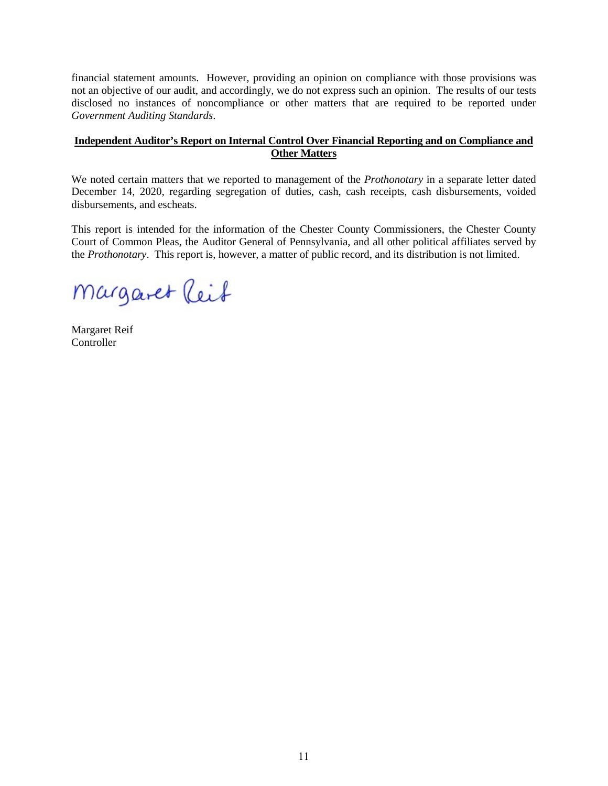financial statement amounts. However, providing an opinion on compliance with those provisions was not an objective of our audit, and accordingly, we do not express such an opinion. The results of our tests disclosed no instances of noncompliance or other matters that are required to be reported under *Government Auditing Standards*.

#### **Independent Auditor's Report on Internal Control Over Financial Reporting and on Compliance and Other Matters**

We noted certain matters that we reported to management of the *Prothonotary* in a separate letter dated December 14, 2020, regarding segregation of duties, cash, cash receipts, cash disbursements, voided disbursements, and escheats.

This report is intended for the information of the Chester County Commissioners, the Chester County Court of Common Pleas, the Auditor General of Pennsylvania, and all other political affiliates served by the *Prothonotary*. This report is, however, a matter of public record, and its distribution is not limited.

Margaret Reif

Margaret Reif Controller